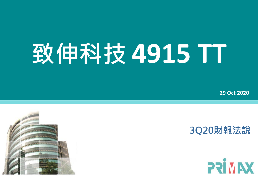## **致伸科技 4915 TT**

**29 Oct 2020**



## **3Q20財報法說**

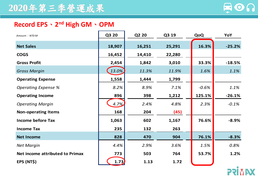

## **Record EPS**、**2nd High GM**、**OPM**

| Amount: NTDM                           | Q3 20  | Q2 20  | Q3 19  | QoQ     | YoY      |
|----------------------------------------|--------|--------|--------|---------|----------|
| <b>Net Sales</b>                       | 18,907 | 16,251 | 25,291 | 16.3%   | $-25.2%$ |
| <b>COGS</b>                            | 16,452 | 14,410 | 22,280 |         |          |
| <b>Gross Profit</b>                    | 2,454  | 1,842  | 3,010  | 33.3%   | $-18.5%$ |
| <b>Gross Margin</b>                    | 13.0%  | 11.3%  | 11.9%  | 1.6%    | 1.1%     |
| <b>Operating Expense</b>               | 1,558  | 1,444  | 1,799  |         |          |
| <b>Operating Expense %</b>             | 8.2%   | 8.9%   | 7.1%   | $-0.6%$ | 1.1%     |
| <b>Operating Income</b>                | 896    | 398    | 1,212  | 125.1%  | $-26.1%$ |
| <b>Operating Margin</b>                | 4.7%   | 2.4%   | 4.8%   | 2.3%    | $-0.1%$  |
| <b>Non-operating Items</b>             | 168    | 204    | (45)   |         |          |
| <b>Income before Tax</b>               | 1,063  | 602    | 1,167  | 76.6%   | $-8.9%$  |
| <b>Income Tax</b>                      | 235    | 132    | 263    |         |          |
| <b>Net Income</b>                      | 828    | 470    | 904    | 76.1%   | $-8.3%$  |
| <b>Net Margin</b>                      | 4.4%   | 2.9%   | 3.6%   | 1.5%    | 0.8%     |
| <b>Net income attributed to Primax</b> | 773    | 503    | 764    | 53.7%   | 1.2%     |
| EPS (NT\$)                             | 1.73   | 1.13   | 1.72   |         |          |

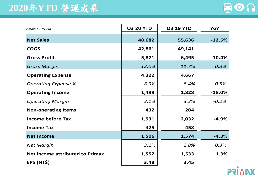## **2020**年**YTD** 營運成果



| Amount: NTD M                          | <b>Q3 20 YTD</b> | <b>Q3 19 YTD</b> | YoY      |
|----------------------------------------|------------------|------------------|----------|
| <b>Net Sales</b>                       | 48,682           | 55,636           | $-12.5%$ |
| <b>COGS</b>                            | 42,861           | 49,141           |          |
| <b>Gross Profit</b>                    | 5,821            | 6,495            | $-10.4%$ |
| <b>Gross Margin</b>                    | 12.0%            | 11.7%            | 0.3%     |
| <b>Operating Expense</b>               | 4,322            | 4,667            |          |
| <b>Operating Expense %</b>             | 8.9%             | 8.4%             | 0.5%     |
| <b>Operating Income</b>                | 1,499            | 1,828            | $-18.0%$ |
| <b>Operating Margin</b>                | 3.1%             | 3.3%             | $-0.2%$  |
| <b>Non-operating Items</b>             | 432              | 204              |          |
| <b>Income before Tax</b>               | 1,931            | 2,032            | $-4.9%$  |
| <b>Income Tax</b>                      | 425              | 458              |          |
| <b>Net Income</b>                      | 1,506            | 1,574            | $-4.3%$  |
| <b>Net Margin</b>                      | 3.1%             | 2.8%             | 0.3%     |
| <b>Net income attributed to Primax</b> | 1,552            | 1,533            | 1.3%     |
| EPS (NT\$)                             | 3.48             | 3.45             |          |

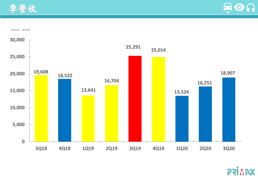



Amount: NTD M



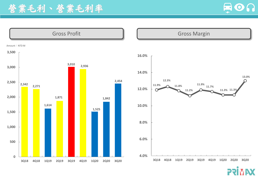



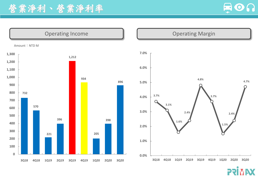



X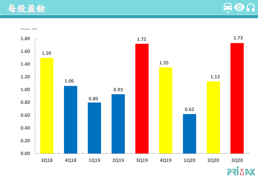



Amount: NTD

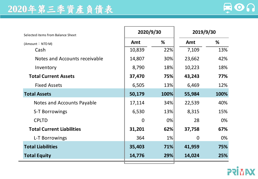

| Selected items from Balance Sheet | 2020/9/30 |       | 2019/9/30      |      |
|-----------------------------------|-----------|-------|----------------|------|
| (Amount: NTD M)                   | Amt       | %     | Amt            | %    |
| Cash                              | 10,839    | 22%   | 7,109          | 13%  |
| Notes and Accounts receivable     | 14,807    | 30%   | 23,662         | 42%  |
| Inventory                         | 8,790     | 18%   | 10,223         | 18%  |
| <b>Total Current Assets</b>       | 37,470    | 75%   | 43,243         | 77%  |
| <b>Fixed Assets</b>               | 6,505     | 13%   | 6,469          | 12%  |
| <b>Total Assets</b>               | 50,179    | 100%  | 55,984         | 100% |
| Notes and Accounts Payable        | 17,114    | 34%   | 22,539         | 40%  |
| S-T Borrowings                    | 6,530     | 13%   | 8,315          | 15%  |
| <b>CPLTD</b>                      | $\Omega$  | $0\%$ | 28             | 0%   |
| <b>Total Current Liabilities</b>  | 31,201    | 62%   | 37,758         | 67%  |
| L-T Borrowings                    | 364       | $1\%$ | $\overline{0}$ | 0%   |
| <b>Total Liabilities</b>          | 35,403    | 71%   | 41,959         | 75%  |
| <b>Total Equity</b>               | 14,776    | 29%   | 14,024         | 25%  |

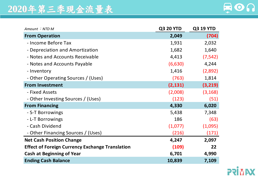

| Amount: NTD M                                          | <b>Q3 20 YTD</b> | <b>Q3 19 YTD</b> |
|--------------------------------------------------------|------------------|------------------|
| <b>From Operation</b>                                  | 2,049            | (704)            |
| - Income Before Tax                                    | 1,931            | 2,032            |
| - Depreciation and Amortization                        | 1,682            | 1,640            |
| - Notes and Accounts Receivable                        | 4,413            | (7, 542)         |
| - Notes and Accounts Payable                           | (6,630)          | 4,244            |
| - Inventory                                            | 1,416            | (2,892)          |
| - Other Operating Sources / (Uses)                     | (763)            | 1,814            |
| <b>From Investment</b>                                 | (2, 131)         | (3, 219)         |
| - Fixed Assets                                         | (2,008)          | (3, 168)         |
| - Other Investing Sources / (Uses)                     | (123)            | (51)             |
| <b>From Financing</b>                                  | 4,330            | 6,020            |
| - S-T Borrowings                                       | 5,438            | 7,348            |
| - L-T Borrowings                                       | 186              | (63)             |
| - Cash Dividend                                        | (1,077)          | (1,095)          |
| - Other Financing Sources / (Uses)                     | (216)            | (171)            |
| <b>Net Cash Position Change</b>                        | 4,247            | 2,097            |
| <b>Effect of Foreign Currency Exchange Translation</b> | (109)            | 22               |
| <b>Cash at Beginning of Year</b>                       | 6,701            | 4,990            |
| <b>Ending Cash Balance</b>                             | 10,839           | 7,109            |

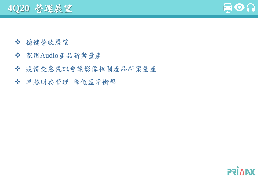**4Q20** 營運展望



- 穩健營收展望
- 家用Audio產品新案量產
- 疫情受惠視訊會議影像相關產品新案量產
- 卓越財務管理 降低匯率衝擊

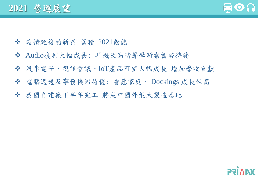

- 疫情延後的新案 蓄積 2021動能
- Audio獲利大幅成長: 耳機及高階聲學新案蓄勢待發
- 汽車電子、視訊會議、IoT產品可望大幅成長 增加營收貢獻
- 電腦週邊及事務機器持穩: 智慧家庭、 Dockings 成長性高
- 泰國自建廠下半年完工 將成中國外最大製造基地

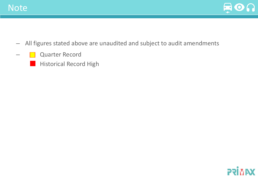



- All figures stated above are unaudited and subject to audit amendments
- **Quarter Record** 
	- Historical Record High